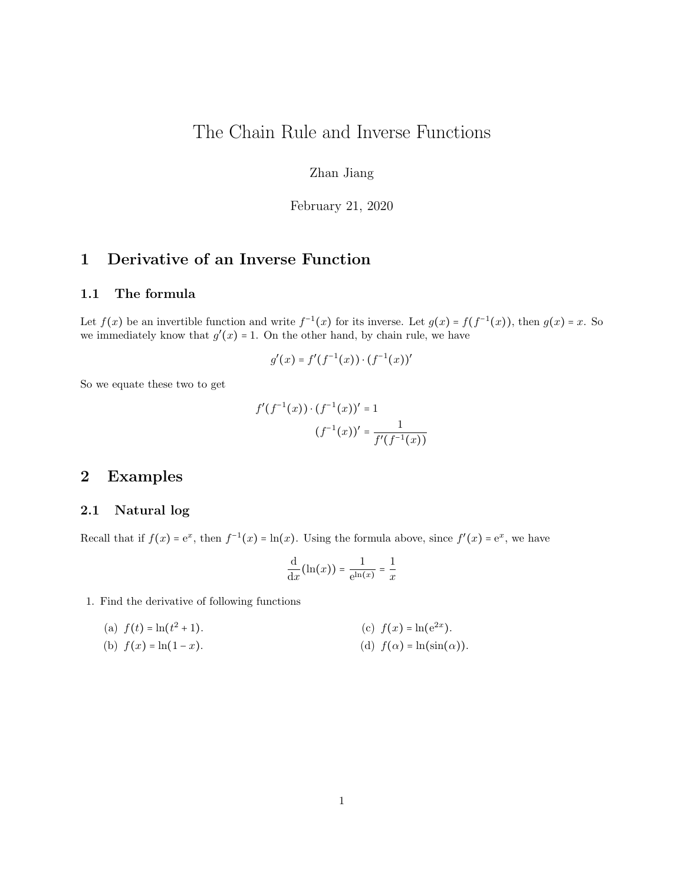# The Chain Rule and Inverse Functions

Zhan Jiang

February 21, 2020

# 1 Derivative of an Inverse Function

#### 1.1 The formula

Let  $f(x)$  be an invertible function and write  $f^{-1}(x)$  for its inverse. Let  $g(x) = f(f^{-1}(x))$ , then  $g(x) = x$ . So we immediately know that  $g'(x) = 1$ . On the other hand, by chain rule, we have

$$
g'(x) = f'(f^{-1}(x)) \cdot (f^{-1}(x))'
$$

So we equate these two to get

$$
f'(f^{-1}(x)) \cdot (f^{-1}(x))' = 1
$$

$$
(f^{-1}(x))' = \frac{1}{f'(f^{-1}(x))}
$$

## 2 Examples

#### 2.1 Natural log

Recall that if  $f(x) = e^x$ , then  $f^{-1}(x) = \ln(x)$ . Using the formula above, since  $f'(x) = e^x$ , we have

$$
\frac{\mathrm{d}}{\mathrm{d}x}(\ln(x)) = \frac{1}{e^{\ln(x)}} = \frac{1}{x}
$$

1. Find the derivative of following functions

(a) 
$$
f(t) = \ln(t^2 + 1)
$$
.  
(c)  $f(x) = \ln(e^{2x})$ .

(b)  $f(x) = \ln(1-x)$ . (d)  $f(\alpha) = \ln(\sin(\alpha)).$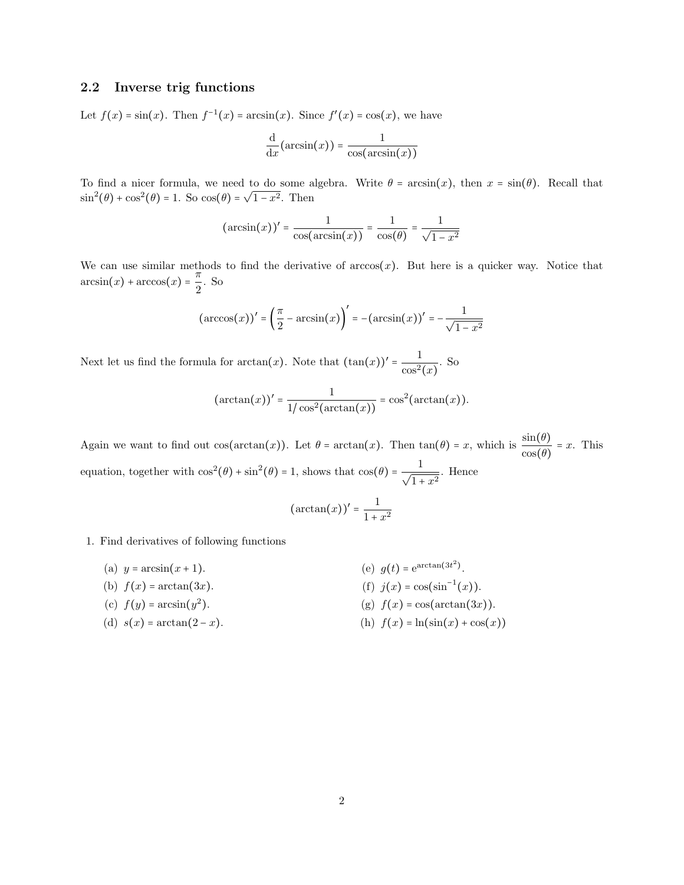### 2.2 Inverse trig functions

Let  $f(x) = \sin(x)$ . Then  $f^{-1}(x) = \arcsin(x)$ . Since  $f'(x) = \cos(x)$ , we have

$$
\frac{\mathrm{d}}{\mathrm{d}x}(\arcsin(x)) = \frac{1}{\cos(\arcsin(x))}
$$

To find a nicer formula, we need to do some algebra. Write  $\theta = \arcsin(x)$ , then  $x = \sin(\theta)$ . Recall that  $\sin^2(\theta) + \cos^2(\theta) = 1$ . So  $\cos(\theta) = \sqrt{1-x^2}$ . Then

$$
(\arcsin(x))' = \frac{1}{\cos(\arcsin(x))} = \frac{1}{\cos(\theta)} = \frac{1}{\sqrt{1 - x^2}}
$$

We can use similar methods to find the derivative of  $arccos(x)$ . But here is a quicker way. Notice that  $arcsin(x) + arccos(x) = \frac{\pi}{2}$  $\frac{\pi}{2}$ . So

$$
(\arccos(x))' = \left(\frac{\pi}{2} - \arcsin(x)\right)' = -(\arcsin(x))' = -\frac{1}{\sqrt{1-x^2}}
$$

Next let us find the formula for  $arctan(x)$ . Note that  $(\tan(x))' = \frac{1}{x^2}$  $\frac{1}{\cos^2(x)}$ . So

$$
(\arctan(x))' = \frac{1}{1/\cos^2(\arctan(x))} = \cos^2(\arctan(x)).
$$

Again we want to find out  $cos(arctan(x))$ . Let  $\theta = arctan(x)$ . Then  $tan(\theta) = x$ , which is  $\frac{sin(\theta)}{cos(\theta)} = x$ . This equation, together with  $\cos^2(\theta) + \sin^2(\theta) = 1$ , shows that  $\cos(\theta) = \frac{1}{\sqrt{2\pi}}$  $\frac{1}{1+x^2}$ . Hence

$$
(\arctan(x))' = \frac{1}{1+x^2}
$$

- 1. Find derivatives of following functions
	- (a)  $y = \arcsin(x + 1)$ . (e)  $g(t) = e^{arctan(3t^2)}$ .
	- (b)  $f(x) = \arctan(3x)$ . (f)  $j(x) = \cos(\sin^{-1}(x))$ .
	- (c)  $f(y) = \arcsin(y^2)$ . (g)  $f(x) = \cos(\arctan(3x)).$
	- (d)  $s(x) = \arctan(2-x)$ . (h)  $f(x) = \ln(\sin(x) + \cos(x))$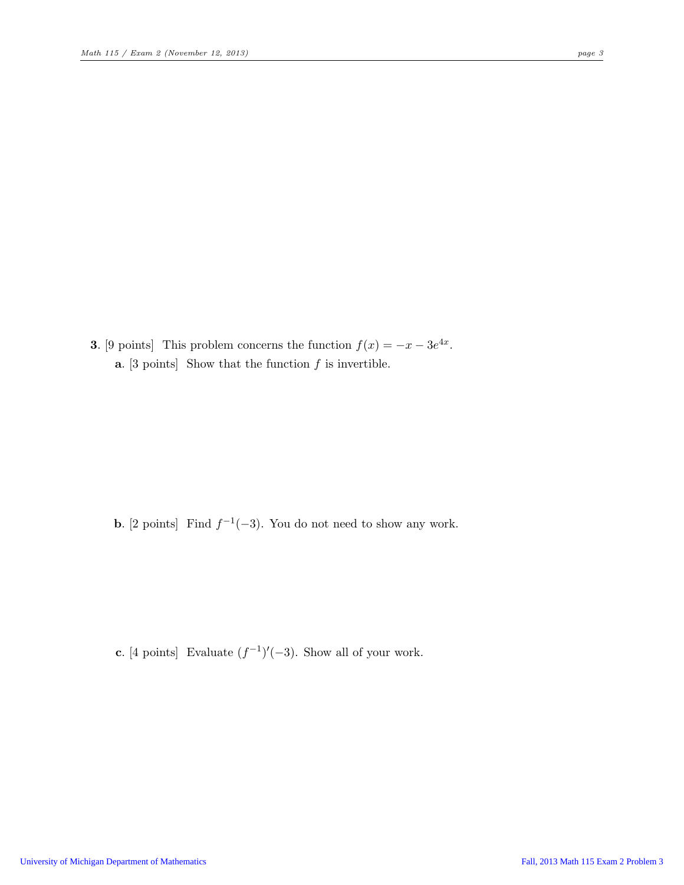**3.** [9 points] This problem concerns the function  $f(x) = -x - 3e^{4x}$ . **a.** [3 points] Show that the function  $f$  is invertible.

**b.** [2 points] Find  $f^{-1}(-3)$ . You do not need to show any work.

c. [4 points] Evaluate  $(f^{-1})'(-3)$ . Show all of your work.